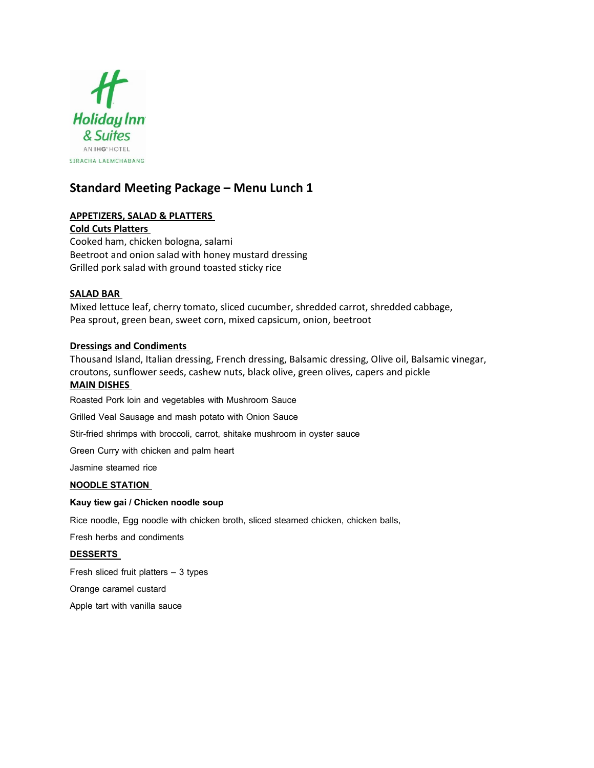

# **Standard Meeting Package – Menu Lunch 1**

## **APPETIZERS, SALAD & PLATTERS**

**Cold Cuts Platters** Cooked ham, chicken bologna, salami Beetroot and onion salad with honey mustard dressing Grilled pork salad with ground toasted sticky rice

## **SALAD BAR**

Mixed lettuce leaf, cherry tomato, sliced cucumber, shredded carrot, shredded cabbage, Pea sprout, green bean, sweet corn, mixed capsicum, onion, beetroot

## **Dressings and Condiments**

Thousand Island, Italian dressing, French dressing, Balsamic dressing, Olive oil, Balsamic vinegar, croutons, sunflower seeds, cashew nuts, black olive, green olives, capers and pickle

## **MAIN DISHES**

Roasted Pork loin and vegetables with Mushroom Sauce

Grilled Veal Sausage and mash potato with Onion Sauce

Stir-fried shrimps with broccoli, carrot, shitake mushroom in oyster sauce

Green Curry with chicken and palm heart

Jasmine steamed rice

#### **NOODLE STATION**

#### **Kauy tiew gai / Chicken noodle soup**

Rice noodle, Egg noodle with chicken broth, sliced steamed chicken, chicken balls,

Fresh herbs and condiments

#### **DESSERTS**

Fresh sliced fruit platters – 3 types

Orange caramel custard

Apple tart with vanilla sauce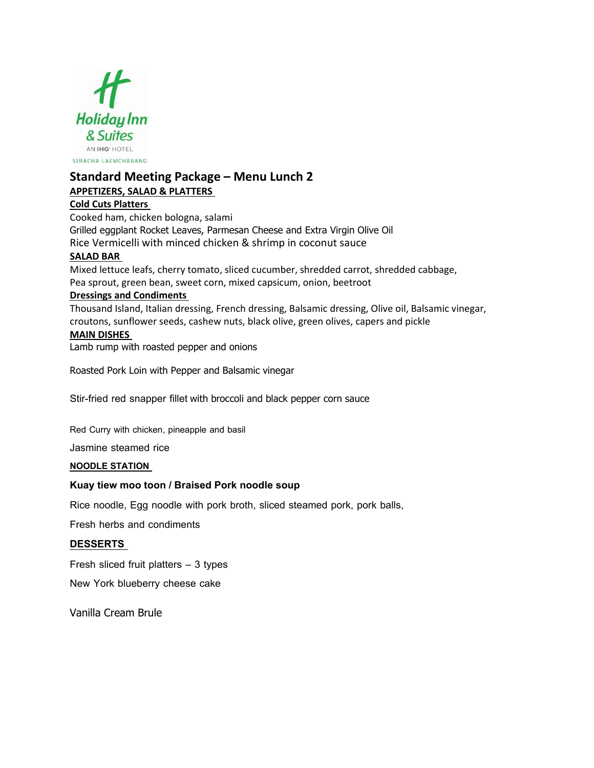

# **Standard Meeting Package – Menu Lunch 2 APPETIZERS, SALAD & PLATTERS**

## **Cold Cuts Platters**

Cooked ham, chicken bologna, salami Grilled eggplant Rocket Leaves, Parmesan Cheese and Extra Virgin Olive Oil Rice Vermicelli with minced chicken & shrimp in coconut sauce

## **SALAD BAR**

Mixed lettuce leafs, cherry tomato, sliced cucumber, shredded carrot, shredded cabbage, Pea sprout, green bean, sweet corn, mixed capsicum, onion, beetroot

## **Dressings and Condiments**

Thousand Island, Italian dressing, French dressing, Balsamic dressing, Olive oil, Balsamic vinegar, croutons, sunflower seeds, cashew nuts, black olive, green olives, capers and pickle **MAIN DISHES**

Lamb rump with roasted pepper and onions

Roasted Pork Loin with Pepper and Balsamic vinegar

Stir-fried red snapper fillet with broccoli and black pepper corn sauce

Red Curry with chicken, pineapple and basil

Jasmine steamed rice

## **NOODLE STATION**

## **Kuaytiew mootoon/ Braised Pork noodle soup**

Rice noodle, Egg noodle with pork broth, sliced steamed pork, pork balls,

Fresh herbs and condiments

## **DESSERTS**

Fresh sliced fruit platters – 3 types

New York blueberry cheese cake

Vanilla Cream Brule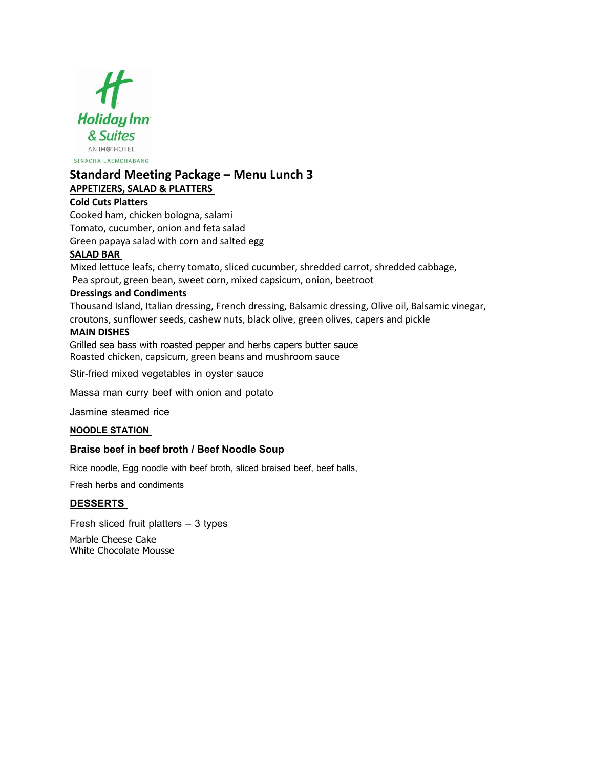

# **Standard Meeting Package – Menu Lunch 3 APPETIZERS, SALAD & PLATTERS**

## **Cold Cuts Platters**

Cooked ham, chicken bologna, salami Tomato, cucumber, onion and feta salad Green papaya salad with corn and salted egg

# **SALAD BAR**

Mixed lettuce leafs, cherry tomato, sliced cucumber, shredded carrot, shredded cabbage, Pea sprout, green bean, sweet corn, mixed capsicum, onion, beetroot

# **Dressings and Condiments**

Thousand Island, Italian dressing, French dressing, Balsamic dressing, Olive oil, Balsamic vinegar, croutons, sunflower seeds, cashew nuts, black olive, green olives, capers and pickle

## **MAIN DISHES**

Grilled sea bass with roasted pepper and herbs capers butter sauce Roasted chicken, capsicum, green beans and mushroom sauce

Stir-fried mixed vegetables in oyster sauce

Massa man curry beef with onion and potato

Jasmine steamed rice

## **NOODLE STATION**

## **Braise beef in beef broth / Beef Noodle Soup**

Rice noodle, Egg noodle with beef broth, sliced braised beef, beef balls,

Fresh herbs and condiments

## **DESSERTS**

Fresh sliced fruit platters – 3 types Marble Cheese Cake White Chocolate Mousse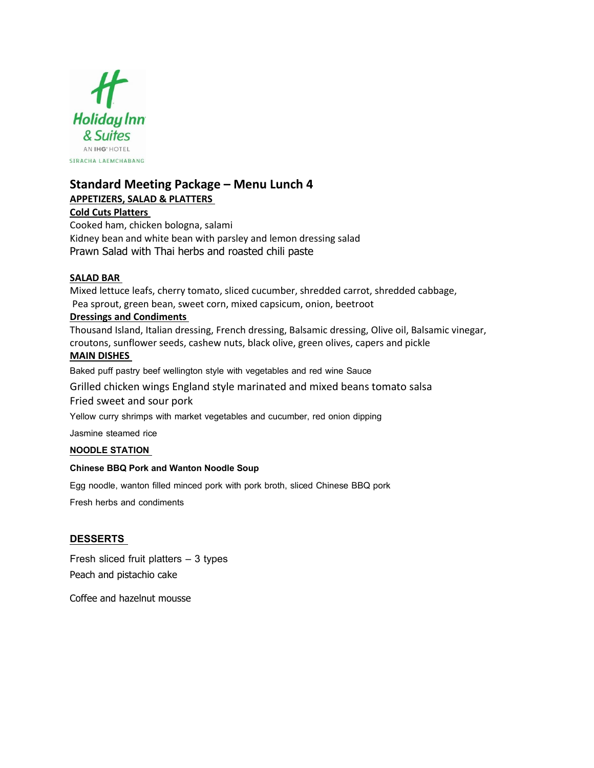

# **Standard Meeting Package – Menu Lunch 4**

# **APPETIZERS, SALAD & PLATTERS**

## **Cold Cuts Platters**

Cooked ham, chicken bologna, salami Kidney bean and white bean with parsley and lemon dressing salad Prawn Salad with Thai herbs and roasted chili paste

## **SALAD BAR**

Mixed lettuce leafs, cherry tomato, sliced cucumber, shredded carrot, shredded cabbage, Pea sprout, green bean, sweet corn, mixed capsicum, onion, beetroot

## **Dressings and Condiments**

Thousand Island, Italian dressing, French dressing, Balsamic dressing, Olive oil, Balsamic vinegar, croutons, sunflower seeds, cashew nuts, black olive, green olives, capers and pickle **MAIN DISHES**

Baked puff pastry beef wellington style with vegetables and red wine Sauce

Grilled chicken wings England style marinated and mixed beans tomato salsa Fried sweet and sour pork

Yellow curry shrimps with market vegetables and cucumber, red onion dipping

Jasmine steamed rice

## **NOODLE STATION**

## **Chinese BBQ Pork and Wanton Noodle Soup**

Egg noodle, wanton filled minced pork with pork broth, sliced Chinese BBQ pork

Fresh herbs and condiments

## **DESSERTS**

Fresh sliced fruit platters – 3 types Peach and pistachio cake

Coffee and hazelnut mousse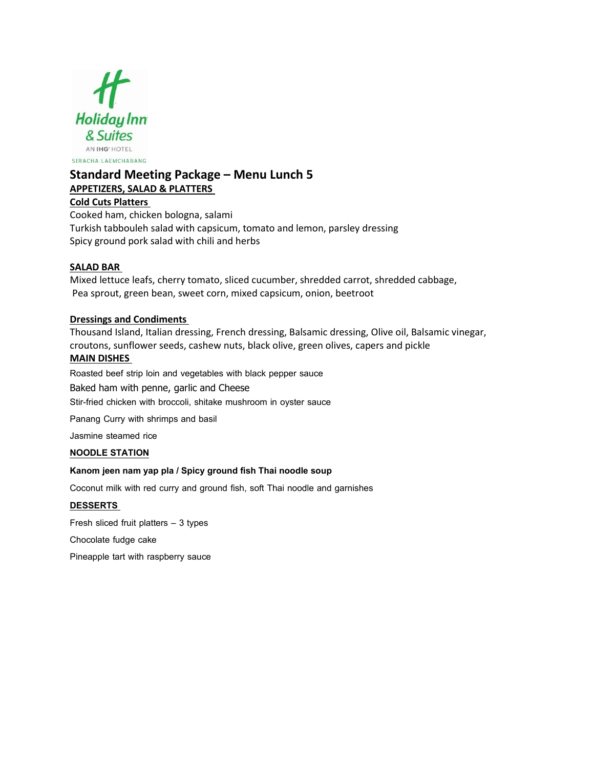

# **Standard Meeting Package – Menu Lunch 5 APPETIZERS, SALAD & PLATTERS**

## **Cold Cuts Platters**

Cooked ham, chicken bologna, salami Turkish tabbouleh salad with capsicum, tomato and lemon, parsley dressing Spicy ground pork salad with chili and herbs

## **SALAD BAR**

Mixed lettuce leafs, cherry tomato, sliced cucumber, shredded carrot, shredded cabbage, Pea sprout, green bean, sweet corn, mixed capsicum, onion, beetroot

## **Dressings and Condiments**

Thousand Island, Italian dressing, French dressing, Balsamic dressing, Olive oil, Balsamic vinegar, croutons, sunflower seeds, cashew nuts, black olive, green olives, capers and pickle **MAIN DISHES**

Roasted beef strip loin and vegetables with black pepper sauce Baked ham with penne, garlic and Cheese Stir-fried chicken with broccoli, shitake mushroom in oyster sauce

Panang Curry with shrimps and basil

Jasmine steamed rice

#### **NOODLE STATION**

#### **Kanom jeen nam yap pla** */* Spicy ground fish Thai noodle soup

Coconut milk with red curry and ground fish, soft Thai noodle and garnishes

#### **DESSERTS**

Fresh sliced fruit platters – 3 types

Chocolate fudge cake

Pineapple tart with raspberry sauce